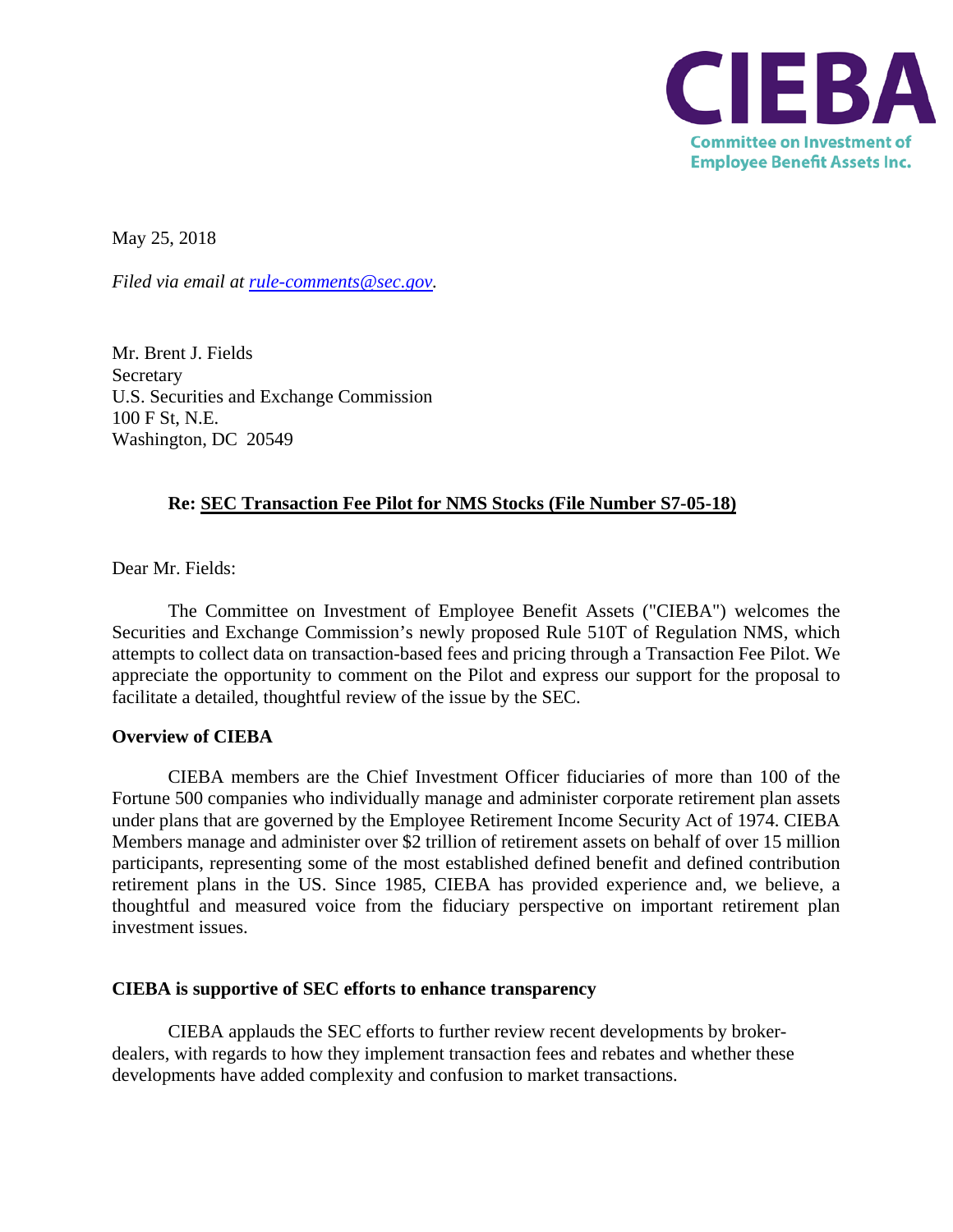

May 25, 2018

*Filed via email at [rule-comments@sec.gov.](mailto:rule-comments@sec.gov)* 

Mr. Brent J. Fields Secretary U.S. Securities and Exchange Commission 100 F St, N.E. Washington, DC 20549

## **Re: SEC Transaction Fee Pilot for NMS Stocks (File Number S7-05-18)**

Dear Mr. Fields:

The Committee on Investment of Employee Benefit Assets ("CIEBA") welcomes the Securities and Exchange Commission's newly proposed Rule 510T of Regulation NMS, which attempts to collect data on transaction-based fees and pricing through a Transaction Fee Pilot. We appreciate the opportunity to comment on the Pilot and express our support for the proposal to facilitate a detailed, thoughtful review of the issue by the SEC.

## **Overview of CIEBA**

CIEBA members are the Chief Investment Officer fiduciaries of more than 100 of the Fortune 500 companies who individually manage and administer corporate retirement plan assets under plans that are governed by the Employee Retirement Income Security Act of 1974. CIEBA Members manage and administer over \$2 trillion of retirement assets on behalf of over 15 million participants, representing some of the most established defined benefit and defined contribution retirement plans in the US. Since 1985, CIEBA has provided experience and, we believe, a thoughtful and measured voice from the fiduciary perspective on important retirement plan investment issues.

## **CIEBA is supportive of SEC efforts to enhance transparency**

CIEBA applauds the SEC efforts to further review recent developments by brokerdealers, with regards to how they implement transaction fees and rebates and whether these developments have added complexity and confusion to market transactions.